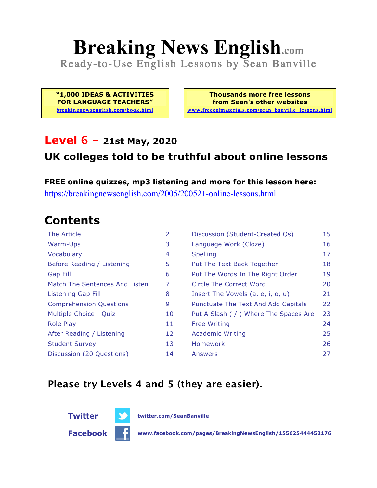# **Breaking News English.com**

Ready-to-Use English Lessons by Sean Banville

**"1,000 IDEAS & ACTIVITIES FOR LANGUAGE TEACHERS"** breakingnewsenglish.com/book.html

**Thousands more free lessons from Sean's other websites** www.freeeslmaterials.com/sean\_banville\_lessons.html

#### **Level 6 - 21st May, 2020**

#### **UK colleges told to be truthful about online lessons**

**FREE online quizzes, mp3 listening and more for this lesson here:** https://breakingnewsenglish.com/2005/200521-online-lessons.html

### **Contents**

| The Article                    | $\overline{2}$ | Discussion (Student-Created Qs)        | 15 |
|--------------------------------|----------------|----------------------------------------|----|
| Warm-Ups                       | 3              | Language Work (Cloze)                  | 16 |
| Vocabulary                     | 4              | <b>Spelling</b>                        | 17 |
| Before Reading / Listening     | 5              | Put The Text Back Together             | 18 |
| <b>Gap Fill</b>                | 6              | Put The Words In The Right Order       | 19 |
| Match The Sentences And Listen | 7              | Circle The Correct Word                | 20 |
| Listening Gap Fill             | 8              | Insert The Vowels (a, e, i, o, u)      | 21 |
| <b>Comprehension Questions</b> | 9              | Punctuate The Text And Add Capitals    | 22 |
| Multiple Choice - Quiz         | 10             | Put A Slash ( / ) Where The Spaces Are | 23 |
| <b>Role Play</b>               | 11             | <b>Free Writing</b>                    | 24 |
| After Reading / Listening      | 12             | <b>Academic Writing</b>                | 25 |
| <b>Student Survey</b>          | 13             | <b>Homework</b>                        | 26 |
| Discussion (20 Questions)      | 14             | Answers                                | 27 |

#### **Please try Levels 4 and 5 (they are easier).**

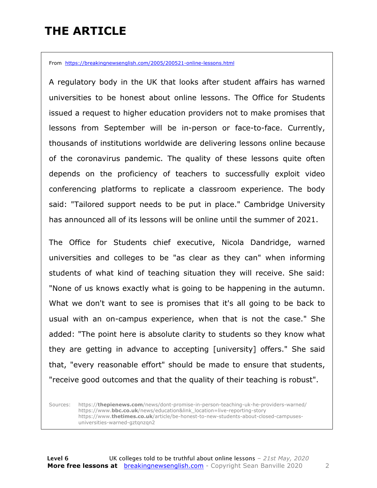### **THE ARTICLE**

From https://breakingnewsenglish.com/2005/200521-online-lessons.html

A regulatory body in the UK that looks after student affairs has warned universities to be honest about online lessons. The Office for Students issued a request to higher education providers not to make promises that lessons from September will be in-person or face-to-face. Currently, thousands of institutions worldwide are delivering lessons online because of the coronavirus pandemic. The quality of these lessons quite often depends on the proficiency of teachers to successfully exploit video conferencing platforms to replicate a classroom experience. The body said: "Tailored support needs to be put in place." Cambridge University has announced all of its lessons will be online until the summer of 2021.

The Office for Students chief executive, Nicola Dandridge, warned universities and colleges to be "as clear as they can" when informing students of what kind of teaching situation they will receive. She said: "None of us knows exactly what is going to be happening in the autumn. What we don't want to see is promises that it's all going to be back to usual with an on-campus experience, when that is not the case." She added: "The point here is absolute clarity to students so they know what they are getting in advance to accepting [university] offers." She said that, "every reasonable effort" should be made to ensure that students, "receive good outcomes and that the quality of their teaching is robust".

Sources: https://**thepienews.com**/news/dont-promise-in-person-teaching-uk-he-providers-warned/ https://www.**bbc.co.uk**/news/education&link\_location=live-reporting-story https://www.**thetimes.co.uk**/article/be-honest-to-new-students-about-closed-campusesuniversities-warned-gztqnzqn2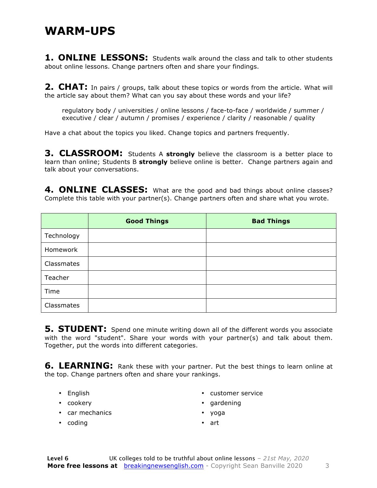#### **WARM-UPS**

**1. ONLINE LESSONS:** Students walk around the class and talk to other students about online lessons. Change partners often and share your findings.

**2. CHAT:** In pairs / groups, talk about these topics or words from the article. What will the article say about them? What can you say about these words and your life?

regulatory body / universities / online lessons / face-to-face / worldwide / summer / executive / clear / autumn / promises / experience / clarity / reasonable / quality

Have a chat about the topics you liked. Change topics and partners frequently.

**3. CLASSROOM:** Students A strongly believe the classroom is a better place to learn than online; Students B **strongly** believe online is better. Change partners again and talk about your conversations.

**4. ONLINE CLASSES:** What are the good and bad things about online classes? Complete this table with your partner(s). Change partners often and share what you wrote.

|            | <b>Good Things</b> | <b>Bad Things</b> |
|------------|--------------------|-------------------|
| Technology |                    |                   |
| Homework   |                    |                   |
| Classmates |                    |                   |
| Teacher    |                    |                   |
| Time       |                    |                   |
| Classmates |                    |                   |

**5. STUDENT:** Spend one minute writing down all of the different words you associate with the word "student". Share your words with your partner(s) and talk about them. Together, put the words into different categories.

**6. LEARNING:** Rank these with your partner. Put the best things to learn online at the top. Change partners often and share your rankings.

- English
- cookery
- customer service
- gardening

• car mechanics

• yoga

• coding

• art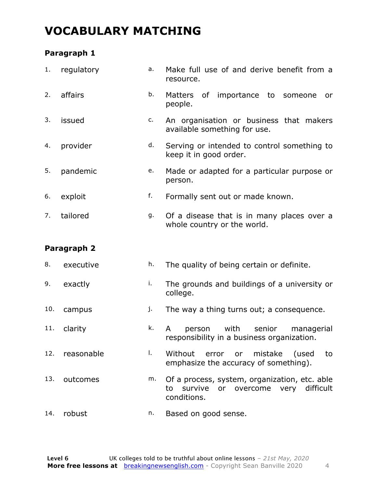#### **VOCABULARY MATCHING**

#### **Paragraph 1**

| 1.  | regulatory  | a. | Make full use of and derive benefit from a<br>resource.                                                  |
|-----|-------------|----|----------------------------------------------------------------------------------------------------------|
| 2.  | affairs     | b. | of importance to someone<br><b>Matters</b><br>or<br>people.                                              |
| 3.  | issued      | c. | An organisation or business that makers<br>available something for use.                                  |
| 4.  | provider    | d. | Serving or intended to control something to<br>keep it in good order.                                    |
| 5.  | pandemic    | e. | Made or adapted for a particular purpose or<br>person.                                                   |
| 6.  | exploit     | f. | Formally sent out or made known.                                                                         |
| 7.  | tailored    | g. | Of a disease that is in many places over a<br>whole country or the world.                                |
|     |             |    |                                                                                                          |
|     | Paragraph 2 |    |                                                                                                          |
| 8.  | executive   | h. | The quality of being certain or definite.                                                                |
| 9.  | exactly     | i. | The grounds and buildings of a university or<br>college.                                                 |
| 10. | campus      | j. | The way a thing turns out; a consequence.                                                                |
| 11. | clarity     | k. | with<br>senior<br>person<br>managerial<br>A<br>responsibility in a business organization.                |
| 12. | reasonable  | I. | Without error or<br>mistake (used<br>to<br>emphasize the accuracy of something).                         |
| 13. | outcomes    | m. | Of a process, system, organization, etc. able<br>to survive<br>or overcome very difficult<br>conditions. |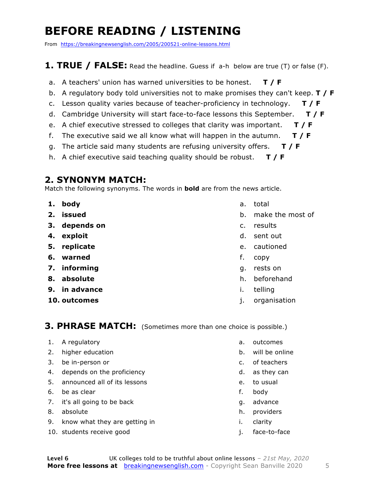### **BEFORE READING / LISTENING**

From https://breakingnewsenglish.com/2005/200521-online-lessons.html

#### **1. TRUE / FALSE:** Read the headline. Guess if a-h below are true (T) or false (F).

- a. A teachers' union has warned universities to be honest. **T / F**
- b. A regulatory body told universities not to make promises they can't keep. **T / F**
- c. Lesson quality varies because of teacher-proficiency in technology. **T / F**
- d. Cambridge University will start face-to-face lessons this September. **T / F**
- e. A chief executive stressed to colleges that clarity was important. **T / F**
- f. The executive said we all know what will happen in the autumn. **T / F**
- g. The article said many students are refusing university offers. **T / F**
- h. A chief executive said teaching quality should be robust. **T / F**

#### **2. SYNONYM MATCH:**

Match the following synonyms. The words in **bold** are from the news article.

- **1. body**
- **2. issued**
- **3. depends on**
- **4. exploit**
- **5. replicate**
- **6. warned**
- **7. informing**
- **8. absolute**
- **9. in advance**
- **10. outcomes**
- a. total
- b. make the most of
- c. results
- d. sent out
- e. cautioned
- f. copy
- g. rests on
- h. beforehand
- i. telling
- j. organisation

#### **3. PHRASE MATCH:** (Sometimes more than one choice is possible.)

- 1. A regulatory
- 2. higher education
- 3. be in-person or
- 4. depends on the proficiency
- 5. announced all of its lessons
- 6. be as clear
- 7. it's all going to be back
- 8. absolute
- 9. know what they are getting in
- 10. students receive good
- a. outcomes
- b. will be online
- c. of teachers
- d. as they can
- e. to usual
- f. body
- g. advance
- h. providers
- i. clarity
- j. face-to-face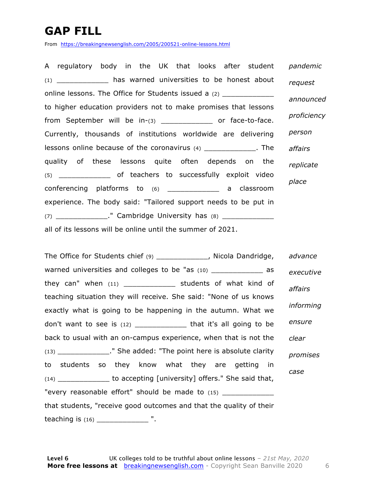### **GAP FILL**

From https://breakingnewsenglish.com/2005/200521-online-lessons.html

A regulatory body in the UK that looks after student (1) \_\_\_\_\_\_\_\_\_\_\_\_ has warned universities to be honest about online lessons. The Office for Students issued a (2) to higher education providers not to make promises that lessons from September will be in-(3) \_\_\_\_\_\_\_\_\_\_\_\_\_\_ or face-to-face. Currently, thousands of institutions worldwide are delivering lessons online because of the coronavirus (4) \_\_\_\_\_\_\_\_\_\_\_\_. The quality of these lessons quite often depends on the (5) \_\_\_\_\_\_\_\_\_\_\_\_ of teachers to successfully exploit video conferencing platforms to (6) \_\_\_\_\_\_\_\_\_\_\_\_ a classroom experience. The body said: "Tailored support needs to be put in  $(7)$   $\blacksquare$  Cambridge University has  $(8)$ all of its lessons will be online until the summer of 2021. *pandemic request announced proficiency person affairs replicate place*

The Office for Students chief (9) [10] [20] Nicola Dandridge, warned universities and colleges to be "as (10) \_\_\_\_\_\_\_\_\_\_\_\_ as they can" when  $(11)$  \_\_\_\_\_\_\_\_\_\_\_\_\_\_ students of what kind of teaching situation they will receive. She said: "None of us knows exactly what is going to be happening in the autumn. What we don't want to see is  $(12)$  \_\_\_\_\_\_\_\_\_\_\_\_\_\_\_ that it's all going to be back to usual with an on-campus experience, when that is not the (13) \_\_\_\_\_\_\_\_\_\_\_\_." She added: "The point here is absolute clarity to students so they know what they are getting in (14) \_\_\_\_\_\_\_\_\_\_\_\_ to accepting [university] offers." She said that, "every reasonable effort" should be made to (15) \_\_\_\_\_\_\_\_\_\_\_\_\_\_ that students, "receive good outcomes and that the quality of their teaching is  $(16)$   $\begin{array}{ccc} \hline \end{array}$  ". *advance executive affairs informing ensure clear promises case*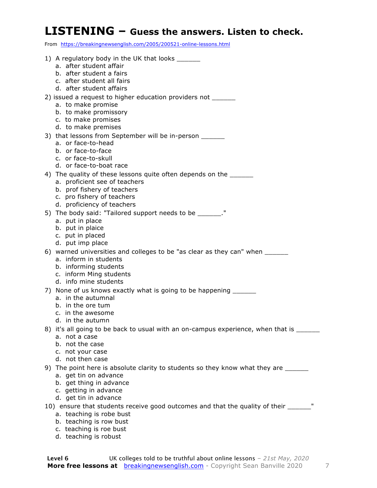#### **LISTENING – Guess the answers. Listen to check.**

From https://breakingnewsenglish.com/2005/200521-online-lessons.html

| 1) A regulatory body in the UK that looks _______<br>a. after student affair            |
|-----------------------------------------------------------------------------------------|
| b. after student a fairs                                                                |
| c. after student all fairs                                                              |
| d. after student affairs                                                                |
| 2) issued a request to higher education providers not ______                            |
| a. to make promise                                                                      |
| b. to make promissory                                                                   |
| c. to make promises                                                                     |
| d. to make premises                                                                     |
| 3) that lessons from September will be in-person ______                                 |
| a. or face-to-head                                                                      |
| b. or face-to-face<br>c. or face-to-skull                                               |
| d. or face-to-boat race                                                                 |
| 4) The quality of these lessons quite often depends on the _______                      |
| a. proficient see of teachers                                                           |
| b. prof fishery of teachers                                                             |
| c. pro fishery of teachers                                                              |
| d. proficiency of teachers                                                              |
| 5) The body said: "Tailored support needs to be _______."                               |
| a. put in place                                                                         |
| b. put in plaice                                                                        |
| c. put in placed                                                                        |
| d. put imp place                                                                        |
| 6) warned universities and colleges to be "as clear as they can" when ________          |
| a. inform in students<br>b. informing students                                          |
| c. inform Ming students                                                                 |
| d. info mine students                                                                   |
| 7) None of us knows exactly what is going to be happening                               |
| a. in the autumnal                                                                      |
| b. in the ore tum                                                                       |
| c. in the awesome                                                                       |
| d. in the autumn                                                                        |
| 8) it's all going to be back to usual with an on-campus experience, when that is ______ |
| a. not a case<br>b. not the case                                                        |
| c. not your case                                                                        |
| d. not then case                                                                        |
| 9) The point here is absolute clarity to students so they know what they are ______     |
| a. get tin on advance                                                                   |
| b. get thing in advance                                                                 |
| c. getting in advance                                                                   |
| d. get tin in advance                                                                   |
| 10) ensure that students receive good outcomes and that the quality of their ______"    |
| a. teaching is robe bust                                                                |
| b. teaching is row bust                                                                 |
| c. teaching is roe bust                                                                 |

d. teaching is robust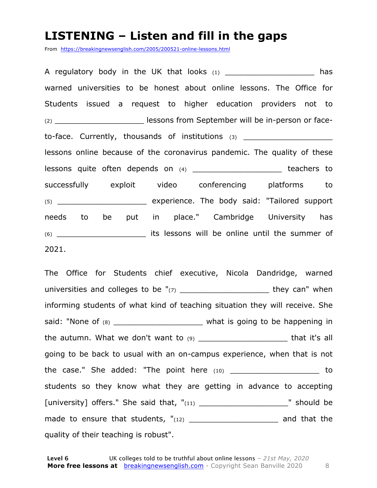#### **LISTENING – Listen and fill in the gaps**

From https://breakingnewsenglish.com/2005/200521-online-lessons.html

A regulatory body in the UK that looks  $(1)$  equilatory body in the UK that looks  $(1)$ warned universities to be honest about online lessons. The Office for Students issued a request to higher education providers not to (2) **EXECUTE:** lessons from September will be in-person or faceto-face. Currently, thousands of institutions (3) \_\_\_\_\_\_\_\_\_\_\_\_\_\_\_\_\_\_\_\_\_\_\_\_\_\_\_\_\_\_ lessons online because of the coronavirus pandemic. The quality of these lessons quite often depends on (4) \_\_\_\_\_\_\_\_\_\_\_\_\_\_\_\_\_\_\_\_\_\_\_\_\_ teachers to successfully exploit video conferencing platforms to (5) \_\_\_\_\_\_\_\_\_\_\_\_\_\_\_\_\_\_\_ experience. The body said: "Tailored support needs to be put in place." Cambridge University has (6) \_\_\_\_\_\_\_\_\_\_\_\_\_\_\_\_\_\_\_ its lessons will be online until the summer of 2021.

The Office for Students chief executive, Nicola Dandridge, warned universities and colleges to be "(7) \_\_\_\_\_\_\_\_\_\_\_\_\_\_\_\_\_\_\_ they can" when informing students of what kind of teaching situation they will receive. She said: "None of (8) \_\_\_\_\_\_\_\_\_\_\_\_\_\_\_\_\_\_\_\_\_\_\_\_\_ what is going to be happening in the autumn. What we don't want to (9) \_\_\_\_\_\_\_\_\_\_\_\_\_\_\_\_\_\_\_ that it's all going to be back to usual with an on-campus experience, when that is not the case." She added: "The point here (10) \_\_\_\_\_\_\_\_\_\_\_\_\_\_\_\_\_\_\_\_\_\_\_ to students so they know what they are getting in advance to accepting [university] offers." She said that, "(11) \_\_\_\_\_\_\_\_\_\_\_\_\_\_\_\_\_\_\_\_\_\_\_\_\_\_\_\_\_" should be made to ensure that students,  $"$ <sub>(12)</sub> \_\_\_\_\_\_\_\_\_\_\_\_\_\_\_\_\_\_\_\_\_\_\_\_\_ and that the quality of their teaching is robust".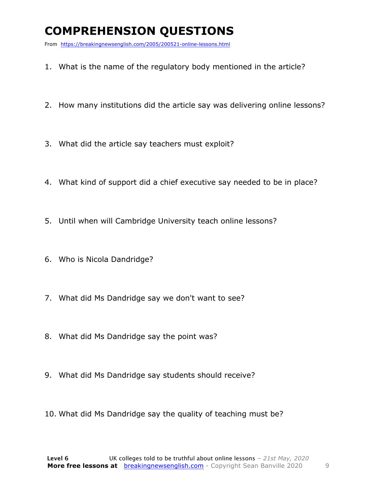### **COMPREHENSION QUESTIONS**

From https://breakingnewsenglish.com/2005/200521-online-lessons.html

- 1. What is the name of the regulatory body mentioned in the article?
- 2. How many institutions did the article say was delivering online lessons?
- 3. What did the article say teachers must exploit?
- 4. What kind of support did a chief executive say needed to be in place?
- 5. Until when will Cambridge University teach online lessons?
- 6. Who is Nicola Dandridge?
- 7. What did Ms Dandridge say we don't want to see?
- 8. What did Ms Dandridge say the point was?
- 9. What did Ms Dandridge say students should receive?
- 10. What did Ms Dandridge say the quality of teaching must be?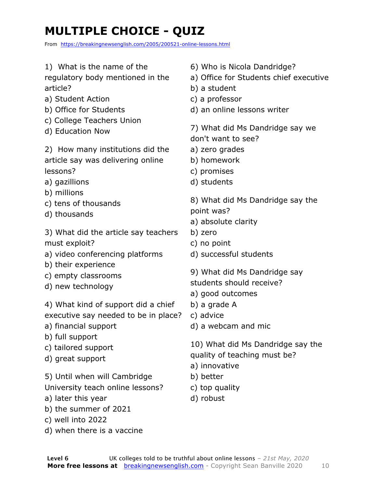## **MULTIPLE CHOICE - QUIZ**

From https://breakingnewsenglish.com/2005/200521-online-lessons.html

- 1) What is the name of the
- regulatory body mentioned in the article?
- a) Student Action
- b) Office for Students
- c) College Teachers Union
- d) Education Now

2) How many institutions did the article say was delivering online lessons?

- a) gazillions
- b) millions
- c) tens of thousands
- d) thousands

3) What did the article say teachers must exploit?

- a) video conferencing platforms
- b) their experience
- c) empty classrooms
- d) new technology

4) What kind of support did a chief executive say needed to be in place?

- a) financial support
- b) full support
- c) tailored support
- d) great support

5) Until when will Cambridge

University teach online lessons?

- a) later this year
- b) the summer of 2021
- c) well into 2022
- d) when there is a vaccine
- 6) Who is Nicola Dandridge?
- a) Office for Students chief executive
- b) a student
- c) a professor
- d) an online lessons writer

7) What did Ms Dandridge say we don't want to see?

- a) zero grades
- b) homework
- c) promises
- d) students

8) What did Ms Dandridge say the point was?

- a) absolute clarity
- b) zero
- c) no point
- d) successful students
- 9) What did Ms Dandridge say
- students should receive?
- a) good outcomes
- b) a grade A
- c) advice
- d) a webcam and mic

10) What did Ms Dandridge say the quality of teaching must be?

- a) innovative
- b) better
- c) top quality
- d) robust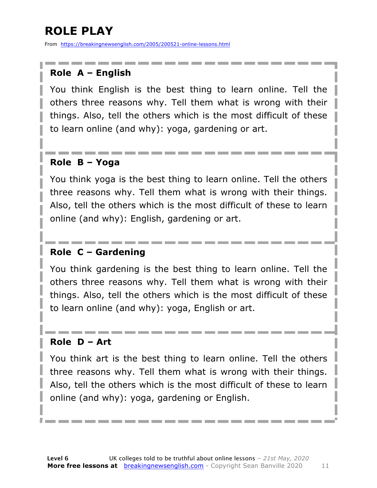### **ROLE PLAY**

From https://breakingnewsenglish.com/2005/200521-online-lessons.html

#### **Role A – English**

You think English is the best thing to learn online. Tell the others three reasons why. Tell them what is wrong with their things. Also, tell the others which is the most difficult of these to learn online (and why): yoga, gardening or art.

#### **Role B – Yoga**

You think yoga is the best thing to learn online. Tell the others three reasons why. Tell them what is wrong with their things. Also, tell the others which is the most difficult of these to learn online (and why): English, gardening or art.

#### **Role C – Gardening**

You think gardening is the best thing to learn online. Tell the others three reasons why. Tell them what is wrong with their things. Also, tell the others which is the most difficult of these to learn online (and why): yoga, English or art.

#### **Role D – Art**

You think art is the best thing to learn online. Tell the others three reasons why. Tell them what is wrong with their things. Also, tell the others which is the most difficult of these to learn online (and why): yoga, gardening or English.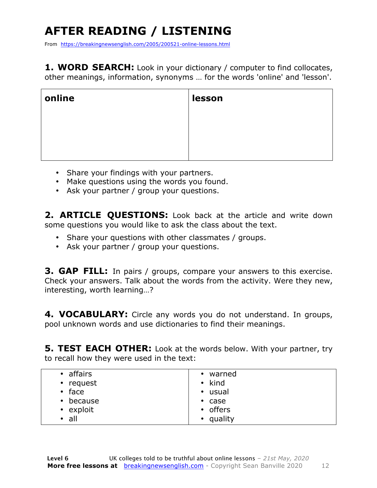## **AFTER READING / LISTENING**

From https://breakingnewsenglish.com/2005/200521-online-lessons.html

**1. WORD SEARCH:** Look in your dictionary / computer to find collocates, other meanings, information, synonyms … for the words 'online' and 'lesson'.

| online | lesson |
|--------|--------|
|        |        |
|        |        |
|        |        |

- Share your findings with your partners.
- Make questions using the words you found.
- Ask your partner / group your questions.

2. **ARTICLE OUESTIONS:** Look back at the article and write down some questions you would like to ask the class about the text.

- Share your questions with other classmates / groups.
- Ask your partner / group your questions.

**3. GAP FILL:** In pairs / groups, compare your answers to this exercise. Check your answers. Talk about the words from the activity. Were they new, interesting, worth learning…?

**4. VOCABULARY:** Circle any words you do not understand. In groups, pool unknown words and use dictionaries to find their meanings.

**5. TEST EACH OTHER:** Look at the words below. With your partner, try to recall how they were used in the text:

| • affairs       | • warned       |
|-----------------|----------------|
| • request       | $\bullet$ kind |
| $\cdot$ face    | • usual        |
| $\cdot$ because | $\cdot$ case   |
| • exploit       | • offers       |
| $\cdot$ all     | • quality      |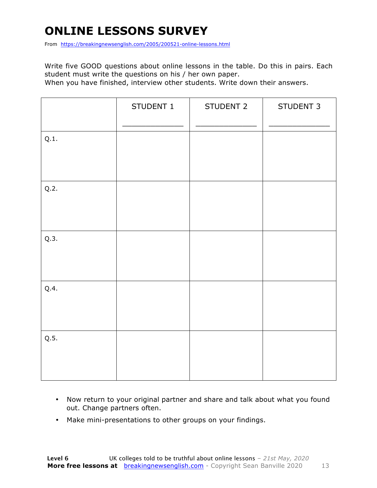### **ONLINE LESSONS SURVEY**

From https://breakingnewsenglish.com/2005/200521-online-lessons.html

Write five GOOD questions about online lessons in the table. Do this in pairs. Each student must write the questions on his / her own paper.

When you have finished, interview other students. Write down their answers.

|      | STUDENT 1 | STUDENT 2 | STUDENT 3 |
|------|-----------|-----------|-----------|
| Q.1. |           |           |           |
| Q.2. |           |           |           |
| Q.3. |           |           |           |
| Q.4. |           |           |           |
| Q.5. |           |           |           |

- Now return to your original partner and share and talk about what you found out. Change partners often.
- Make mini-presentations to other groups on your findings.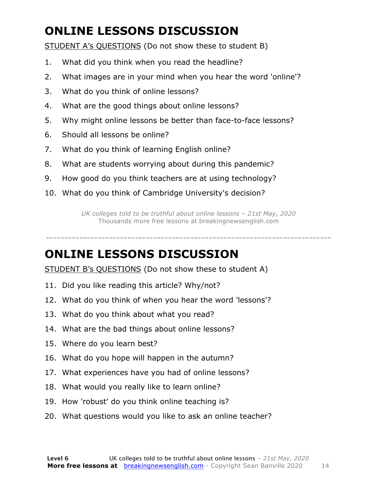### **ONLINE LESSONS DISCUSSION**

STUDENT A's QUESTIONS (Do not show these to student B)

- 1. What did you think when you read the headline?
- 2. What images are in your mind when you hear the word 'online'?
- 3. What do you think of online lessons?
- 4. What are the good things about online lessons?
- 5. Why might online lessons be better than face-to-face lessons?
- 6. Should all lessons be online?
- 7. What do you think of learning English online?
- 8. What are students worrying about during this pandemic?
- 9. How good do you think teachers are at using technology?
- 10. What do you think of Cambridge University's decision?

*UK colleges told to be truthful about online lessons – 21st May, 2020* Thousands more free lessons at breakingnewsenglish.com

-----------------------------------------------------------------------------

#### **ONLINE LESSONS DISCUSSION**

STUDENT B's QUESTIONS (Do not show these to student A)

- 11. Did you like reading this article? Why/not?
- 12. What do you think of when you hear the word 'lessons'?
- 13. What do you think about what you read?
- 14. What are the bad things about online lessons?
- 15. Where do you learn best?
- 16. What do you hope will happen in the autumn?
- 17. What experiences have you had of online lessons?
- 18. What would you really like to learn online?
- 19. How 'robust' do you think online teaching is?
- 20. What questions would you like to ask an online teacher?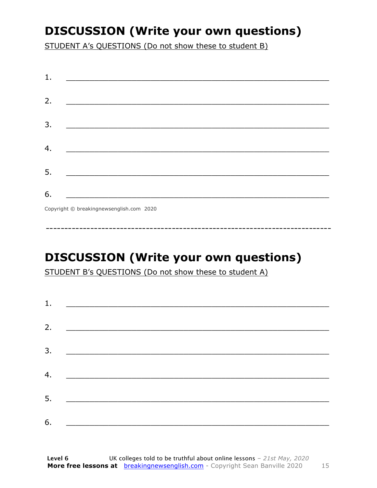### **DISCUSSION (Write your own questions)**

STUDENT A's QUESTIONS (Do not show these to student B)

| 1. |                                                                                                                          |
|----|--------------------------------------------------------------------------------------------------------------------------|
| 2. |                                                                                                                          |
|    | <u> 1989 - Johann John Stone, mars et al. (b. 1989)</u>                                                                  |
| 3. | <u> 1980 - Johann John Stone, mensk politik (d. 1980)</u>                                                                |
|    |                                                                                                                          |
| 4. |                                                                                                                          |
| 5. | <u> 1980 - Johann John Stone, markin fan it fjort fan it fjort fan it fjort fan it fjort fan it fjort fan it fjort f</u> |
|    |                                                                                                                          |
| 6. | <u> 1989 - Johann Barbara, martxa alemani</u> ar arte                                                                    |
|    | $Convriath \odot hraskinanawsanalich com 2020$                                                                           |

Copyright © breakingnewsenglish.com 2020

### **DISCUSSION (Write your own questions)**

STUDENT B's QUESTIONS (Do not show these to student A)

| 1. |                                                                                                                         |  |  |
|----|-------------------------------------------------------------------------------------------------------------------------|--|--|
|    |                                                                                                                         |  |  |
| 2. | <u> 1980 - Andrea Stationer, fransk politiker (d. 1980)</u>                                                             |  |  |
| 3. |                                                                                                                         |  |  |
|    |                                                                                                                         |  |  |
| 4. | <u> 1980 - Jan Samuel Barbara, margaret eta idazlea (h. 1980).</u>                                                      |  |  |
| 5. | <u> 1986 - Johann Stoff, deutscher Stoffen und der Stoffen und der Stoffen und der Stoffen und der Stoffen und der </u> |  |  |
|    |                                                                                                                         |  |  |
| 6. | <u> 1989 - Johann John Stone, market fan it ferskearre fan it ferskearre fan it ferskearre fan it ferskearre fan i</u>  |  |  |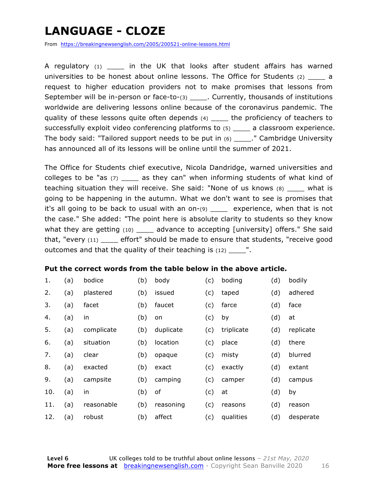### **LANGUAGE - CLOZE**

From https://breakingnewsenglish.com/2005/200521-online-lessons.html

A regulatory  $(1)$  in the UK that looks after student affairs has warned universities to be honest about online lessons. The Office for Students  $(2)$  a request to higher education providers not to make promises that lessons from September will be in-person or face-to-(3) currently, thousands of institutions worldwide are delivering lessons online because of the coronavirus pandemic. The quality of these lessons quite often depends (4) \_\_\_\_\_ the proficiency of teachers to successfully exploit video conferencing platforms to (5) \_\_\_\_ a classroom experience. The body said: "Tailored support needs to be put in (6) \_\_\_\_." Cambridge University has announced all of its lessons will be online until the summer of 2021.

The Office for Students chief executive, Nicola Dandridge, warned universities and colleges to be "as  $(7)$  \_\_\_\_ as they can" when informing students of what kind of teaching situation they will receive. She said: "None of us knows (8) \_\_\_\_ what is going to be happening in the autumn. What we don't want to see is promises that it's all going to be back to usual with an on-(9) \_\_\_\_ experience, when that is not the case." She added: "The point here is absolute clarity to students so they know what they are getting (10) \_\_\_\_\_ advance to accepting [university] offers." She said that, "every (11) \_\_\_\_ effort" should be made to ensure that students, "receive good outcomes and that the quality of their teaching is  $(12)$   $\cdots$ .

#### **Put the correct words from the table below in the above article.**

| 1.  | (a) | bodice     | (b) | body      | (c) | boding     | (d) | bodily    |
|-----|-----|------------|-----|-----------|-----|------------|-----|-----------|
| 2.  | (a) | plastered  | (b) | issued    | (c) | taped      | (d) | adhered   |
| 3.  | (a) | facet      | (b) | faucet    | (c) | farce      | (d) | face      |
| 4.  | (a) | in         | (b) | on        | (c) | by         | (d) | at        |
| 5.  | (a) | complicate | (b) | duplicate | (c) | triplicate | (d) | replicate |
| 6.  | (a) | situation  | (b) | location  | (c) | place      | (d) | there     |
| 7.  | (a) | clear      | (b) | opaque    | (c) | misty      | (d) | blurred   |
| 8.  | (a) | exacted    | (b) | exact     | (c) | exactly    | (d) | extant    |
| 9.  | (a) | campsite   | (b) | camping   | (c) | camper     | (d) | campus    |
| 10. | (a) | in         | (b) | оf        | (c) | at         | (d) | by        |
| 11. | (a) | reasonable | (b) | reasoning | (c) | reasons    | (d) | reason    |
| 12. | (a) | robust     | (b) | affect    | (c) | qualities  | (d) | desperate |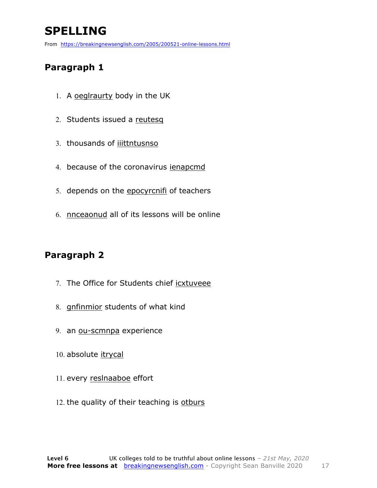### **SPELLING**

From https://breakingnewsenglish.com/2005/200521-online-lessons.html

#### **Paragraph 1**

- 1. A oeglraurty body in the UK
- 2. Students issued a reutesq
- 3. thousands of iiittntusnso
- 4. because of the coronavirus ienapcmd
- 5. depends on the epocyrcnifi of teachers
- 6. nnceaonud all of its lessons will be online

#### **Paragraph 2**

- 7. The Office for Students chief icxtuveee
- 8. gnfinmior students of what kind
- 9. an ou-scmnpa experience
- 10. absolute itrycal
- 11. every reslnaaboe effort
- 12. the quality of their teaching is otburs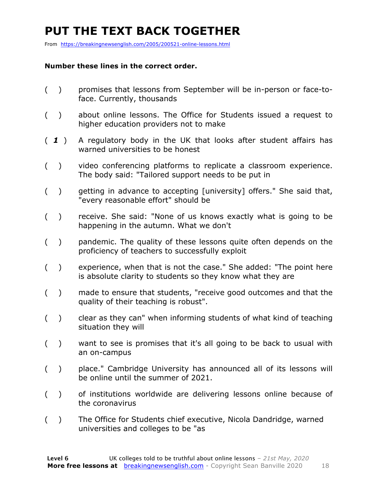### **PUT THE TEXT BACK TOGETHER**

From https://breakingnewsenglish.com/2005/200521-online-lessons.html

#### **Number these lines in the correct order.**

- ( ) promises that lessons from September will be in-person or face-toface. Currently, thousands
- ( ) about online lessons. The Office for Students issued a request to higher education providers not to make
- ( *1* ) A regulatory body in the UK that looks after student affairs has warned universities to be honest
- ( ) video conferencing platforms to replicate a classroom experience. The body said: "Tailored support needs to be put in
- ( ) getting in advance to accepting [university] offers." She said that, "every reasonable effort" should be
- ( ) receive. She said: "None of us knows exactly what is going to be happening in the autumn. What we don't
- ( ) pandemic. The quality of these lessons quite often depends on the proficiency of teachers to successfully exploit
- ( ) experience, when that is not the case." She added: "The point here is absolute clarity to students so they know what they are
- ( ) made to ensure that students, "receive good outcomes and that the quality of their teaching is robust".
- ( ) clear as they can" when informing students of what kind of teaching situation they will
- ( ) want to see is promises that it's all going to be back to usual with an on-campus
- ( ) place." Cambridge University has announced all of its lessons will be online until the summer of 2021.
- ( ) of institutions worldwide are delivering lessons online because of the coronavirus
- ( ) The Office for Students chief executive, Nicola Dandridge, warned universities and colleges to be "as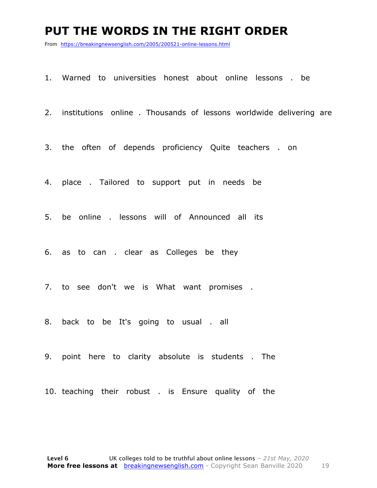#### **PUT THE WORDS IN THE RIGHT ORDER**

From https://breakingnewsenglish.com/2005/200521-online-lessons.html

1. Warned to universities honest about online lessons . be

2. institutions online . Thousands of lessons worldwide delivering are

3. the often of depends proficiency Quite teachers . on

4. place . Tailored to support put in needs be

5. be online . lessons will of Announced all its

6. as to can . clear as Colleges be they

7. to see don't we is What want promises .

8. back to be It's going to usual . all

9. point here to clarity absolute is students . The

10. teaching their robust . is Ensure quality of the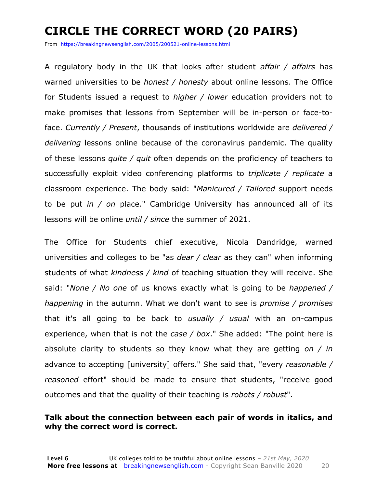### **CIRCLE THE CORRECT WORD (20 PAIRS)**

From https://breakingnewsenglish.com/2005/200521-online-lessons.html

A regulatory body in the UK that looks after student *affair / affairs* has warned universities to be *honest / honesty* about online lessons. The Office for Students issued a request to *higher / lower* education providers not to make promises that lessons from September will be in-person or face-toface. *Currently / Present*, thousands of institutions worldwide are *delivered / delivering* lessons online because of the coronavirus pandemic. The quality of these lessons *quite / quit* often depends on the proficiency of teachers to successfully exploit video conferencing platforms to *triplicate / replicate* a classroom experience. The body said: "*Manicured / Tailored* support needs to be put *in / on* place." Cambridge University has announced all of its lessons will be online *until / since* the summer of 2021.

The Office for Students chief executive, Nicola Dandridge, warned universities and colleges to be "as *dear / clear* as they can" when informing students of what *kindness / kind* of teaching situation they will receive. She said: "*None / No one* of us knows exactly what is going to be *happened / happening* in the autumn. What we don't want to see is *promise / promises* that it's all going to be back to *usually / usual* with an on-campus experience, when that is not the *case / box*." She added: "The point here is absolute clarity to students so they know what they are getting *on / in* advance to accepting [university] offers." She said that, "every *reasonable / reasoned* effort" should be made to ensure that students, "receive good outcomes and that the quality of their teaching is *robots / robust*".

#### **Talk about the connection between each pair of words in italics, and why the correct word is correct.**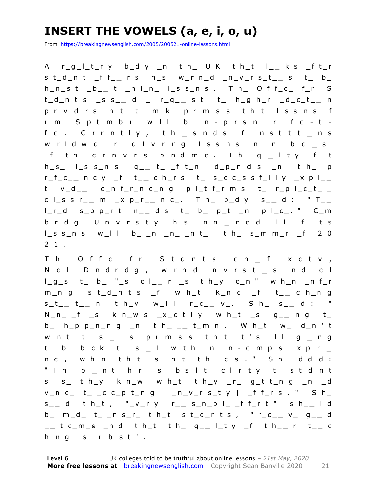### **INSERT THE VOWELS (a, e, i, o, u)**

From https://breakingnewsenglish.com/2005/200521-online-lessons.html

A r\_g\_l\_t\_r y b\_d y \_n t h\_ U K t h\_t l\_ **\_** k s \_f t\_r s t\_d\_n t \_f f\_ **\_** r s h\_s w\_r n\_d \_n\_v\_r s\_t\_ **\_** s t\_ b\_ h\_n\_s t \_b\_ **\_** t \_n l\_n\_ l\_s s\_n s . T h\_ O f f\_c\_ f\_r S t\_d\_n t s \_s s\_ **\_** d \_ r\_q\_ **\_** s t t\_ h\_g h\_r \_d\_c\_t\_ **\_** n p r\_v\_d\_r s n\_t t\_ m\_k\_ p r\_m\_ s\_s t h\_t l\_s s\_n s f  $r_{m}$  S\_p t\_m b\_r w\_l l b\_ \_n - p\_r s\_n \_r f\_c\_-t\_f\_c\_. C\_r r\_n t l y , t h\_ **\_** s\_n d s \_f \_n s t\_t\_t\_ **\_** n s w\_r l d w\_d\_ \_r\_ d\_l\_v\_r\_n g l\_s s\_n s \_n l\_n\_ b\_c\_ **\_** s\_ \_f t h\_ c\_r\_n\_v\_r\_s p\_n d\_m\_c . T h\_ q \_ **\_** l\_t y \_f t h\_s\_ l\_s s\_n s q\_ **\_** t\_ \_f t\_n d\_p\_n d s \_n t h\_ p r\_f\_c\_ **\_** n c y \_f t\_ **\_** c h\_r s t\_ s\_c c\_s s f\_l l y \_x p l\_ **\_**  t v\_d\_ **\_** c\_n f\_r\_n c\_n g p l\_t f\_r m s t\_ r\_p l\_c\_t\_ \_ c l\_s s r\_\_ m \_x p\_r\_\_ n c\_. T h\_ b\_d y s\_\_ d : " T\_\_ l\_r\_d s\_p p\_r t n\_ **\_** d s t\_ b\_ p\_t \_n p l\_c\_. " C\_m b r\_d g\_ U n\_v\_r s\_t y h\_s \_n n\_ **\_** n c\_d \_l l \_f \_t s l\_s s\_n s w\_l l b\_ \_n l\_n\_ \_n t\_l t h\_ s\_m m\_r \_f 2 0 2 1 .

T h\_ O f f\_c\_ f\_r S t\_d\_n t s c h\_ **\_** f \_x\_c\_t\_v\_, N\_c\_l\_ D\_n d r\_d g\_, w\_r n\_d \_n\_v\_r s\_t\_ **\_** s \_n d c\_l l\_g\_s t\_ b\_ "\_s c l\_ **\_** r \_s t h\_y c\_n " w h\_n \_n f\_r m\_n g s t\_d\_n t s \_f w h\_t k\_n d \_f t\_ **\_** c h\_n g  $s_t = t_{-1}$  **d**  $t = r_0$  **d**  $t = r_0$  **d**  $t = r_0$  **d**  $t = r_0$  **d**  $t = r_0$  **d**  $t = r_0$  **d**  $t = r_0$  **d**  $t = r_0$  **d**  $t = r_0$  **d**  $t = r_0$  **d**  $t = r_0$  **d**  $t = r_0$  **d**  $t = r_0$  **d**  $t = r_0$  **d**  $t = r_0$  **d**  $t = r_0$  **d**  $t = r_0$  **d**  $t$ N\_n\_ \_f \_s k n\_w s \_x\_c t l y w h\_t \_s g\_ **\_** n g t\_ b\_ h\_p p\_n\_n g \_n t h\_ \_ **\_** t\_m n . W h\_t w\_ d\_n ' t w\_n t t\_ s\_ **\_** \_s p r\_m\_s\_s t h\_t \_t ' s \_l l g\_ **\_** n g t\_ b\_ b\_c k t\_ \_s\_ **\_** l w\_t h \_n \_n - c\_m p\_s \_x p\_r\_ **\_**  n c\_, w h\_n t h\_t \_s n\_t t h\_ c\_s\_. " S h\_ \_d d\_d : " T h\_ p\_\_ n t h\_r\_ \_s \_b s\_l\_t\_ c l\_r\_t y t\_ s t\_d\_n t s s\_ t h\_y k n\_w w h\_t t h\_y \_r\_ g\_t t\_n g \_n \_d  $v_n c_ t_ - c_ - c_ - p_ + n_ - g_ - (n_v r_s t y_ - f_ - r s_ - w_ - s_ - h_$ s \_ **\_** d t h\_t , "\_v\_r y r\_ **\_** s\_n\_b l\_ \_f f\_r t " s h\_ **\_** l d b\_ m\_d\_ t\_ \_n s\_r\_ t h\_t s t\_d\_n t s , " r\_c\_ **\_** v\_ g\_ **\_** d \_ **\_** t c\_m\_s \_n d t h\_t t h\_ q\_ **\_** l\_t y \_f t h\_ **\_** r t\_ **\_** c  $h_n g$   $_s$   $r_b_s t$ ".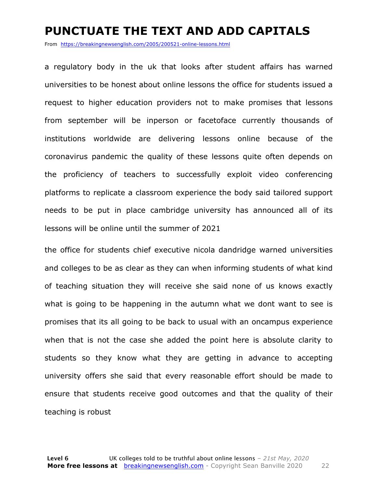#### **PUNCTUATE THE TEXT AND ADD CAPITALS**

From https://breakingnewsenglish.com/2005/200521-online-lessons.html

a regulatory body in the uk that looks after student affairs has warned universities to be honest about online lessons the office for students issued a request to higher education providers not to make promises that lessons from september will be inperson or facetoface currently thousands of institutions worldwide are delivering lessons online because of the coronavirus pandemic the quality of these lessons quite often depends on the proficiency of teachers to successfully exploit video conferencing platforms to replicate a classroom experience the body said tailored support needs to be put in place cambridge university has announced all of its lessons will be online until the summer of 2021

the office for students chief executive nicola dandridge warned universities and colleges to be as clear as they can when informing students of what kind of teaching situation they will receive she said none of us knows exactly what is going to be happening in the autumn what we dont want to see is promises that its all going to be back to usual with an oncampus experience when that is not the case she added the point here is absolute clarity to students so they know what they are getting in advance to accepting university offers she said that every reasonable effort should be made to ensure that students receive good outcomes and that the quality of their teaching is robust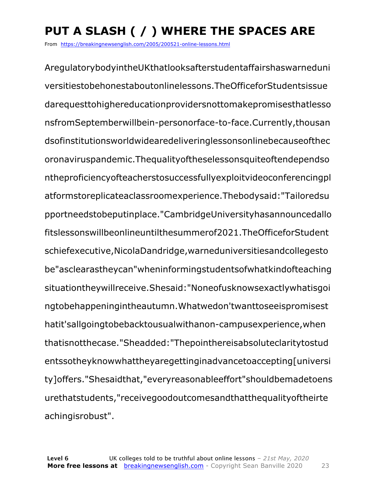## **PUT A SLASH ( / ) WHERE THE SPACES ARE**

From https://breakingnewsenglish.com/2005/200521-online-lessons.html

AregulatorybodyintheUKthatlooksafterstudentaffairshaswarneduni versitiestobehonestaboutonlinelessons.TheOfficeforStudentsissue darequesttohighereducationprovidersnottomakepromisesthatlesso nsfromSeptemberwillbein-personorface-to-face.Currently,thousan dsofinstitutionsworldwidearedeliveringlessonsonlinebecauseofthec oronaviruspandemic.Thequalityoftheselessonsquiteoftendependso ntheproficiencyofteacherstosuccessfullyexploitvideoconferencingpl atformstoreplicateaclassroomexperience.Thebodysaid:"Tailoredsu pportneedstobeputinplace."CambridgeUniversityhasannouncedallo fitslessonswillbeonlineuntilthesummerof2021.TheOfficeforStudent schiefexecutive,NicolaDandridge,warneduniversitiesandcollegesto be"asclearastheycan"wheninformingstudentsofwhatkindofteaching situationtheywillreceive.Shesaid:"Noneofusknowsexactlywhatisgoi ngtobehappeningintheautumn.Whatwedon'twanttoseeispromisest hatit'sallgoingtobebacktousualwithanon-campusexperience,when thatisnotthecase."Sheadded:"Thepointhereisabsoluteclaritytostud entssotheyknowwhattheyaregettinginadvancetoaccepting[universi ty]offers."Shesaidthat,"everyreasonableeffort"shouldbemadetoens urethatstudents,"receivegoodoutcomesandthatthequalityoftheirte achingisrobust".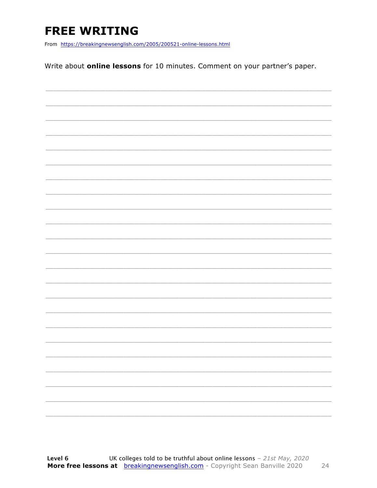### **FREE WRITING**

From https://breakingnewsenglish.com/2005/200521-online-lessons.html

Write about **online lessons** for 10 minutes. Comment on your partner's paper.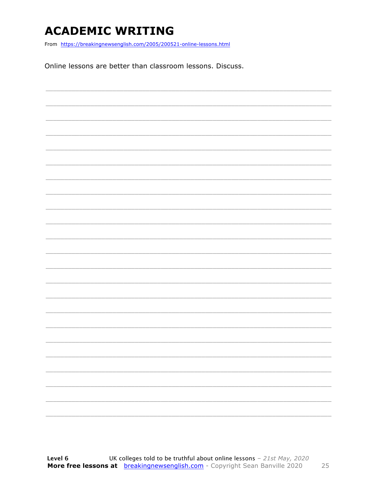### **ACADEMIC WRITING**

From https://breakingnewsenglish.com/2005/200521-online-lessons.html

Online lessons are better than classroom lessons. Discuss.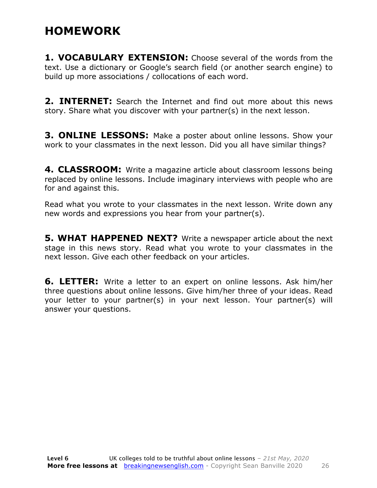#### **HOMEWORK**

**1. VOCABULARY EXTENSION:** Choose several of the words from the text. Use a dictionary or Google's search field (or another search engine) to build up more associations / collocations of each word.

**2. INTERNET:** Search the Internet and find out more about this news story. Share what you discover with your partner(s) in the next lesson.

**3. ONLINE LESSONS:** Make a poster about online lessons. Show your work to your classmates in the next lesson. Did you all have similar things?

**4. CLASSROOM:** Write a magazine article about classroom lessons being replaced by online lessons. Include imaginary interviews with people who are for and against this.

Read what you wrote to your classmates in the next lesson. Write down any new words and expressions you hear from your partner(s).

**5. WHAT HAPPENED NEXT?** Write a newspaper article about the next stage in this news story. Read what you wrote to your classmates in the next lesson. Give each other feedback on your articles.

**6. LETTER:** Write a letter to an expert on online lessons. Ask him/her three questions about online lessons. Give him/her three of your ideas. Read your letter to your partner(s) in your next lesson. Your partner(s) will answer your questions.